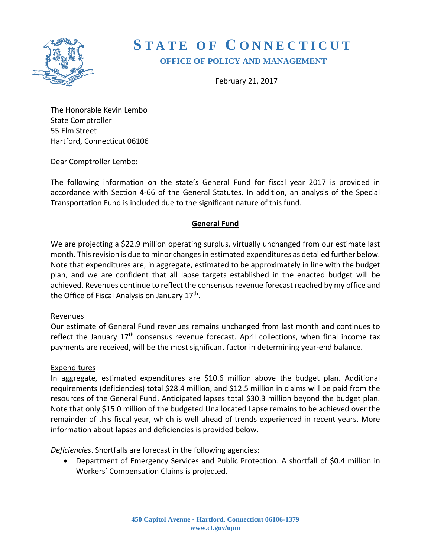

# **S T A T E O F C O N N E C T I C U T OFFICE OF POLICY AND MANAGEMENT**

February 21, 2017

The Honorable Kevin Lembo State Comptroller 55 Elm Street Hartford, Connecticut 06106

Dear Comptroller Lembo:

The following information on the state's General Fund for fiscal year 2017 is provided in accordance with Section 4-66 of the General Statutes. In addition, an analysis of the Special Transportation Fund is included due to the significant nature of this fund.

#### **General Fund**

We are projecting a \$22.9 million operating surplus, virtually unchanged from our estimate last month. This revision is due to minor changes in estimated expenditures as detailed further below. Note that expenditures are, in aggregate, estimated to be approximately in line with the budget plan, and we are confident that all lapse targets established in the enacted budget will be achieved. Revenues continue to reflect the consensus revenue forecast reached by my office and the Office of Fiscal Analysis on January 17<sup>th</sup>.

#### Revenues

Our estimate of General Fund revenues remains unchanged from last month and continues to reflect the January 17<sup>th</sup> consensus revenue forecast. April collections, when final income tax payments are received, will be the most significant factor in determining year-end balance.

#### Expenditures

In aggregate, estimated expenditures are \$10.6 million above the budget plan. Additional requirements (deficiencies) total \$28.4 million, and \$12.5 million in claims will be paid from the resources of the General Fund. Anticipated lapses total \$30.3 million beyond the budget plan. Note that only \$15.0 million of the budgeted Unallocated Lapse remains to be achieved over the remainder of this fiscal year, which is well ahead of trends experienced in recent years. More information about lapses and deficiencies is provided below.

*Deficiencies*. Shortfalls are forecast in the following agencies:

 Department of Emergency Services and Public Protection. A shortfall of \$0.4 million in Workers' Compensation Claims is projected.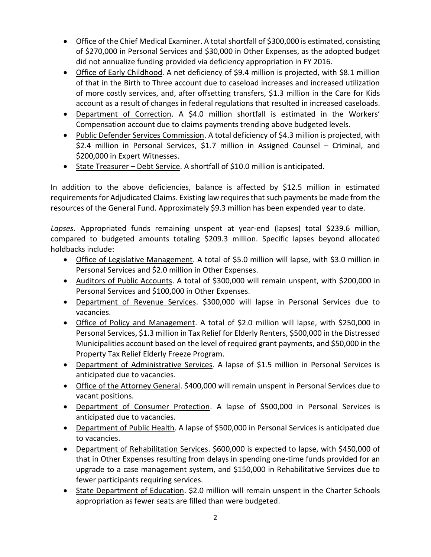- Office of the Chief Medical Examiner. A total shortfall of \$300,000 is estimated, consisting of \$270,000 in Personal Services and \$30,000 in Other Expenses, as the adopted budget did not annualize funding provided via deficiency appropriation in FY 2016.
- Office of Early Childhood. A net deficiency of \$9.4 million is projected, with \$8.1 million of that in the Birth to Three account due to caseload increases and increased utilization of more costly services, and, after offsetting transfers, \$1.3 million in the Care for Kids account as a result of changes in federal regulations that resulted in increased caseloads.
- Department of Correction. A \$4.0 million shortfall is estimated in the Workers' Compensation account due to claims payments trending above budgeted levels.
- Public Defender Services Commission. A total deficiency of \$4.3 million is projected, with \$2.4 million in Personal Services, \$1.7 million in Assigned Counsel – Criminal, and \$200,000 in Expert Witnesses.
- State Treasurer Debt Service. A shortfall of \$10.0 million is anticipated.

In addition to the above deficiencies, balance is affected by \$12.5 million in estimated requirements for Adjudicated Claims. Existing law requires that such payments be made from the resources of the General Fund. Approximately \$9.3 million has been expended year to date.

*Lapses*. Appropriated funds remaining unspent at year-end (lapses) total \$239.6 million, compared to budgeted amounts totaling \$209.3 million. Specific lapses beyond allocated holdbacks include:

- Office of Legislative Management. A total of \$5.0 million will lapse, with \$3.0 million in Personal Services and \$2.0 million in Other Expenses.
- Auditors of Public Accounts. A total of \$300,000 will remain unspent, with \$200,000 in Personal Services and \$100,000 in Other Expenses.
- Department of Revenue Services. \$300,000 will lapse in Personal Services due to vacancies.
- Office of Policy and Management. A total of \$2.0 million will lapse, with \$250,000 in Personal Services, \$1.3 million in Tax Relief for Elderly Renters, \$500,000 in the Distressed Municipalities account based on the level of required grant payments, and \$50,000 in the Property Tax Relief Elderly Freeze Program.
- Department of Administrative Services. A lapse of \$1.5 million in Personal Services is anticipated due to vacancies.
- Office of the Attorney General. \$400,000 will remain unspent in Personal Services due to vacant positions.
- Department of Consumer Protection. A lapse of \$500,000 in Personal Services is anticipated due to vacancies.
- Department of Public Health. A lapse of \$500,000 in Personal Services is anticipated due to vacancies.
- Department of Rehabilitation Services. \$600,000 is expected to lapse, with \$450,000 of that in Other Expenses resulting from delays in spending one-time funds provided for an upgrade to a case management system, and \$150,000 in Rehabilitative Services due to fewer participants requiring services.
- State Department of Education. \$2.0 million will remain unspent in the Charter Schools appropriation as fewer seats are filled than were budgeted.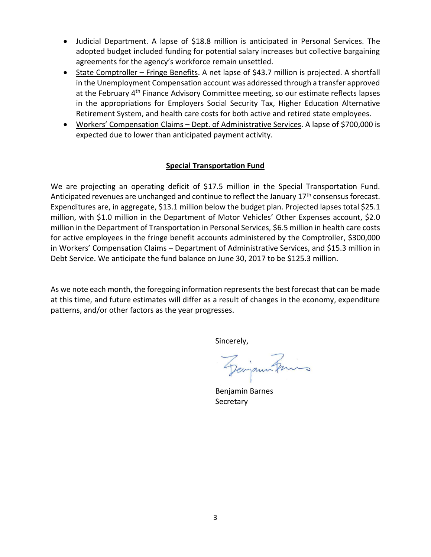- Judicial Department. A lapse of \$18.8 million is anticipated in Personal Services. The adopted budget included funding for potential salary increases but collective bargaining agreements for the agency's workforce remain unsettled.
- State Comptroller Fringe Benefits. A net lapse of \$43.7 million is projected. A shortfall in the Unemployment Compensation account was addressed through a transfer approved at the February 4<sup>th</sup> Finance Advisory Committee meeting, so our estimate reflects lapses in the appropriations for Employers Social Security Tax, Higher Education Alternative Retirement System, and health care costs for both active and retired state employees.
- Workers' Compensation Claims Dept. of Administrative Services. A lapse of \$700,000 is expected due to lower than anticipated payment activity.

# **Special Transportation Fund**

We are projecting an operating deficit of \$17.5 million in the Special Transportation Fund. Anticipated revenues are unchanged and continue to reflect the January 17<sup>th</sup> consensus forecast. Expenditures are, in aggregate, \$13.1 million below the budget plan. Projected lapses total \$25.1 million, with \$1.0 million in the Department of Motor Vehicles' Other Expenses account, \$2.0 million in the Department of Transportation in Personal Services, \$6.5 million in health care costs for active employees in the fringe benefit accounts administered by the Comptroller, \$300,000 in Workers' Compensation Claims – Department of Administrative Services, and \$15.3 million in Debt Service. We anticipate the fund balance on June 30, 2017 to be \$125.3 million.

As we note each month, the foregoing information represents the best forecast that can be made at this time, and future estimates will differ as a result of changes in the economy, expenditure patterns, and/or other factors as the year progresses.

Sincerely,

Georgan Frins

Benjamin Barnes **Secretary**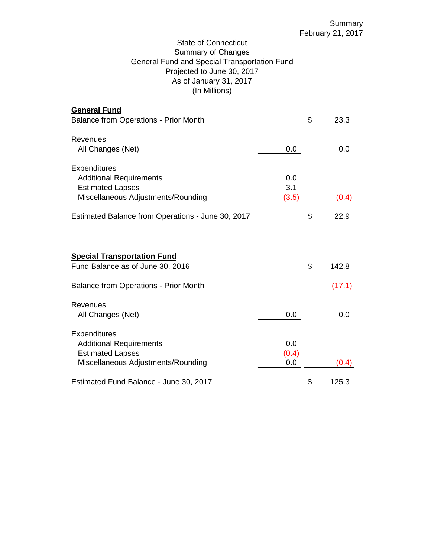## State of Connecticut Summary of Changes General Fund and Special Transportation Fund Projected to June 30, 2017 As of January 31, 2017 (In Millions)

| <b>General Fund</b>                               |       |             |
|---------------------------------------------------|-------|-------------|
| <b>Balance from Operations - Prior Month</b>      |       | \$<br>23.3  |
| Revenues                                          |       |             |
| All Changes (Net)                                 | 0.0   | 0.0         |
| Expenditures                                      |       |             |
| <b>Additional Requirements</b>                    | 0.0   |             |
| <b>Estimated Lapses</b>                           | 3.1   |             |
| Miscellaneous Adjustments/Rounding                | (3.5) | (0.4)       |
| Estimated Balance from Operations - June 30, 2017 |       | \$<br>22.9  |
| <b>Special Transportation Fund</b>                |       |             |
| Fund Balance as of June 30, 2016                  |       | \$<br>142.8 |
| <b>Balance from Operations - Prior Month</b>      |       | (17.1)      |
| <b>Revenues</b>                                   |       |             |
| All Changes (Net)                                 | 0.0   | 0.0         |
| <b>Expenditures</b>                               |       |             |
| <b>Additional Requirements</b>                    | 0.0   |             |
| <b>Estimated Lapses</b>                           | (0.4) |             |
| Miscellaneous Adjustments/Rounding                | 0.0   | (0.4)       |
| Estimated Fund Balance - June 30, 2017            |       | \$<br>125.3 |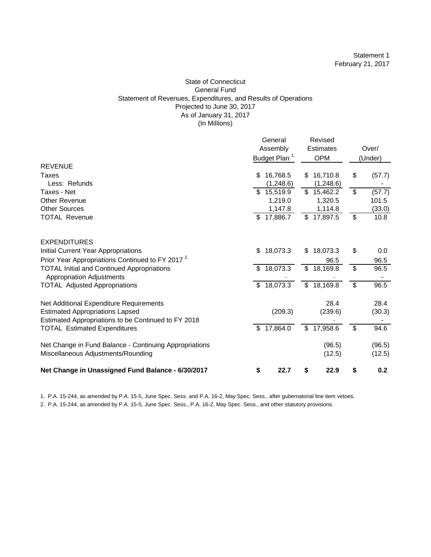#### State of Connecticut General Fund Statement of Revenues, Expenditures, and Results of Operations Projected to June 30, 2017 As of January 31, 2017 (In Millions)

|                                                                                               |              | General<br>Assembly<br>Budget Plan <sup>1.</sup> |              | Revised<br><b>Estimates</b><br><b>OPM</b> |    | Over/<br>(Under) |
|-----------------------------------------------------------------------------------------------|--------------|--------------------------------------------------|--------------|-------------------------------------------|----|------------------|
| <b>REVENUE</b>                                                                                |              |                                                  |              |                                           |    |                  |
| Taxes<br>Less: Refunds                                                                        | \$           | 16,768.5<br>(1,248.6)                            | \$           | 16,710.8                                  | \$ | (57.7)           |
| Taxes - Net                                                                                   |              | \$15,519.9                                       | $\mathbb{S}$ | (1,248.6)<br>15,462.2                     | \$ | (57.7)           |
| Other Revenue                                                                                 |              | 1,219.0                                          |              | 1,320.5                                   |    | 101.5            |
| <b>Other Sources</b>                                                                          |              | 1,147.8                                          |              | 1,114.8                                   |    | (33.0)           |
| <b>TOTAL Revenue</b>                                                                          |              | \$17,886.7                                       |              | \$17,897.5                                | \$ | 10.8             |
| <b>EXPENDITURES</b>                                                                           |              |                                                  |              |                                           |    |                  |
| Initial Current Year Appropriations                                                           | \$           | 18,073.3                                         | \$           | 18,073.3                                  | \$ | 0.0              |
| Prior Year Appropriations Continued to FY 2017 <sup>2</sup>                                   |              |                                                  |              | 96.5                                      |    | 96.5             |
| <b>TOTAL Initial and Continued Appropriations</b><br><b>Appropriation Adjustments</b>         |              | \$18,073.3                                       |              | \$18,169.8                                | \$ | 96.5             |
| <b>TOTAL Adjusted Appropriations</b>                                                          | $\mathbb{S}$ | 18,073.3                                         |              | \$18,169.8                                | \$ | 96.5             |
| Net Additional Expenditure Requirements                                                       |              |                                                  |              | 28.4                                      |    | 28.4             |
| <b>Estimated Appropriations Lapsed</b><br>Estimated Appropriations to be Continued to FY 2018 |              | (209.3)                                          |              | (239.6)                                   |    | (30.3)           |
| <b>TOTAL Estimated Expenditures</b>                                                           | \$           | 17,864.0                                         | \$           | 17,958.6                                  | \$ | 94.6             |
| Net Change in Fund Balance - Continuing Appropriations                                        |              |                                                  |              | (96.5)                                    |    | (96.5)           |
| Miscellaneous Adjustments/Rounding                                                            |              |                                                  |              | (12.5)                                    |    | (12.5)           |
| Net Change in Unassigned Fund Balance - 6/30/2017                                             | \$           | 22.7                                             | \$           | 22.9                                      | S  | 0.2              |

1. P.A. 15-244, as amended by P.A. 15-5, June Spec. Sess. and P.A. 16-2, May Spec. Sess., after gubernatorial line item vetoes.

2. P.A. 15-244, as amended by P.A. 15-5, June Spec. Sess., P.A. 16-2, May Spec. Sess., and other statutory provisions.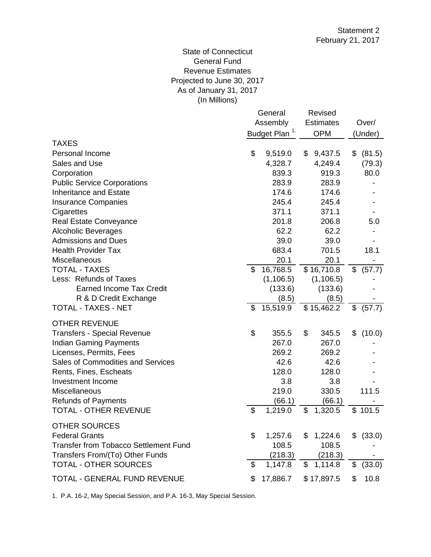## (In Millions) State of Connecticut General Fund Revenue Estimates Projected to June 30, 2017 As of January 31, 2017

|                                              |                           | General    | Revised          |    |          |  |
|----------------------------------------------|---------------------------|------------|------------------|----|----------|--|
|                                              | Assembly                  |            | <b>Estimates</b> |    | Over/    |  |
|                                              | Budget Plan <sup>1.</sup> |            | <b>OPM</b>       |    | (Under)  |  |
| <b>TAXES</b>                                 |                           |            |                  |    |          |  |
| Personal Income                              | \$                        | 9,519.0    | \$<br>9,437.5    | \$ | (81.5)   |  |
| Sales and Use                                |                           | 4,328.7    | 4,249.4          |    | (79.3)   |  |
| Corporation                                  |                           | 839.3      | 919.3            |    | 80.0     |  |
| <b>Public Service Corporations</b>           |                           | 283.9      | 283.9            |    |          |  |
| <b>Inheritance and Estate</b>                |                           | 174.6      | 174.6            |    |          |  |
| <b>Insurance Companies</b>                   |                           | 245.4      | 245.4            |    |          |  |
| Cigarettes                                   |                           | 371.1      | 371.1            |    |          |  |
| Real Estate Conveyance                       |                           | 201.8      | 206.8            |    | 5.0      |  |
| <b>Alcoholic Beverages</b>                   |                           | 62.2       | 62.2             |    |          |  |
| <b>Admissions and Dues</b>                   |                           | 39.0       | 39.0             |    |          |  |
| <b>Health Provider Tax</b>                   |                           | 683.4      | 701.5            |    | 18.1     |  |
| Miscellaneous                                |                           | 20.1       | 20.1             |    |          |  |
| <b>TOTAL - TAXES</b>                         | \$                        | 16,768.5   | \$16,710.8       | \$ | (57.7)   |  |
| Less: Refunds of Taxes                       |                           | (1, 106.5) | (1, 106.5)       |    |          |  |
| <b>Earned Income Tax Credit</b>              |                           | (133.6)    | (133.6)          |    |          |  |
| R & D Credit Exchange                        |                           | (8.5)      | (8.5)            |    |          |  |
| <b>TOTAL - TAXES - NET</b>                   | \$                        | 15,519.9   | \$15,462.2       | \$ | (57.7)   |  |
| <b>OTHER REVENUE</b>                         |                           |            |                  |    |          |  |
| <b>Transfers - Special Revenue</b>           | \$                        | 355.5      | \$<br>345.5      |    | \$(10.0) |  |
| <b>Indian Gaming Payments</b>                |                           | 267.0      | 267.0            |    |          |  |
| Licenses, Permits, Fees                      |                           | 269.2      | 269.2            |    |          |  |
| <b>Sales of Commodities and Services</b>     |                           | 42.6       | 42.6             |    |          |  |
| Rents, Fines, Escheats                       |                           | 128.0      | 128.0            |    |          |  |
| Investment Income                            |                           | 3.8        | 3.8              |    |          |  |
| Miscellaneous                                |                           | 219.0      | 330.5            |    | 111.5    |  |
| <b>Refunds of Payments</b>                   |                           | (66.1)     | (66.1)           |    |          |  |
| TOTAL - OTHER REVENUE                        | \$                        | 1,219.0    | \$<br>1,320.5    |    | \$101.5  |  |
| <b>OTHER SOURCES</b>                         |                           |            |                  |    |          |  |
| <b>Federal Grants</b>                        | \$                        | 1,257.6    | \$<br>1,224.6    | \$ | (33.0)   |  |
| <b>Transfer from Tobacco Settlement Fund</b> |                           | 108.5      | 108.5            |    |          |  |
| Transfers From/(To) Other Funds              |                           | (218.3)    | (218.3)          |    |          |  |
| <b>TOTAL - OTHER SOURCES</b>                 | \$                        | 1,147.8    | \$<br>1,114.8    | \$ | (33.0)   |  |
|                                              |                           |            |                  |    |          |  |
| TOTAL - GENERAL FUND REVENUE                 | \$                        | 17,886.7   | \$17,897.5       | \$ | 10.8     |  |

1. P.A. 16-2, May Special Session, and P.A. 16-3, May Special Session.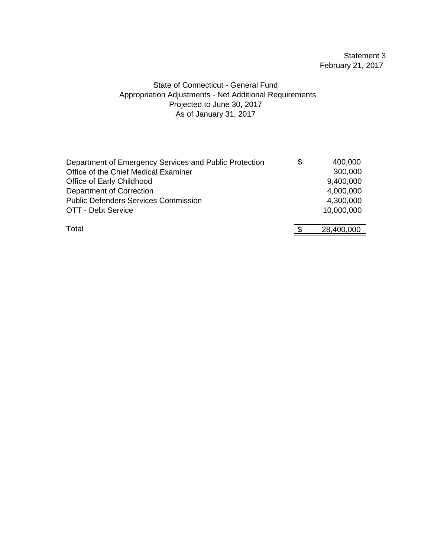# Statement 3 February 21, 2017

## State of Connecticut - General Fund Appropriation Adjustments - Net Additional Requirements As of January 31, 2017 Projected to June 30, 2017

| Department of Emergency Services and Public Protection | S | 400,000    |
|--------------------------------------------------------|---|------------|
| Office of the Chief Medical Examiner                   |   | 300,000    |
| Office of Early Childhood                              |   | 9,400,000  |
| Department of Correction                               |   | 4,000,000  |
| <b>Public Defenders Services Commission</b>            |   | 4,300,000  |
| OTT - Debt Service                                     |   | 10,000,000 |
| Total                                                  |   | 28,400,000 |
|                                                        |   |            |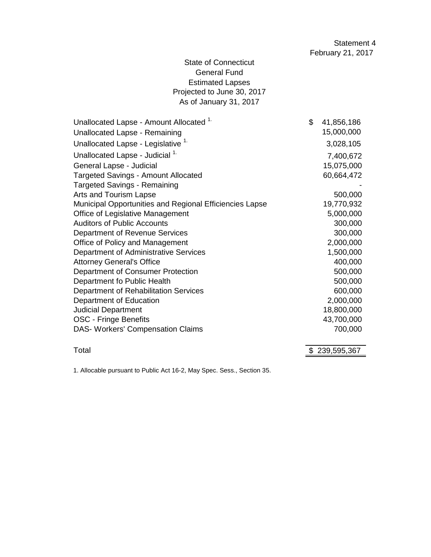# State of Connecticut General Fund Estimated Lapses Projected to June 30, 2017 As of January 31, 2017

| Unallocated Lapse - Amount Allocated <sup>1.</sup>      | \$<br>41,856,186 |
|---------------------------------------------------------|------------------|
| Unallocated Lapse - Remaining                           | 15,000,000       |
| Unallocated Lapse - Legislative <sup>1.</sup>           | 3,028,105        |
| Unallocated Lapse - Judicial <sup>1.</sup>              | 7,400,672        |
| General Lapse - Judicial                                | 15,075,000       |
| <b>Targeted Savings - Amount Allocated</b>              | 60,664,472       |
| <b>Targeted Savings - Remaining</b>                     |                  |
| Arts and Tourism Lapse                                  | 500,000          |
| Municipal Opportunities and Regional Efficiencies Lapse | 19,770,932       |
| Office of Legislative Management                        | 5,000,000        |
| <b>Auditors of Public Accounts</b>                      | 300,000          |
| Department of Revenue Services                          | 300,000          |
| Office of Policy and Management                         | 2,000,000        |
| Department of Administrative Services                   | 1,500,000        |
| <b>Attorney General's Office</b>                        | 400,000          |
| Department of Consumer Protection                       | 500,000          |
| Department fo Public Health                             | 500,000          |
| Department of Rehabilitation Services                   | 600,000          |
| Department of Education                                 | 2,000,000        |
| <b>Judicial Department</b>                              | 18,800,000       |
| <b>OSC - Fringe Benefits</b>                            | 43,700,000       |
| DAS- Workers' Compensation Claims                       | 700,000          |
|                                                         |                  |

Total \$239,595,367

1. Allocable pursuant to Public Act 16-2, May Spec. Sess., Section 35.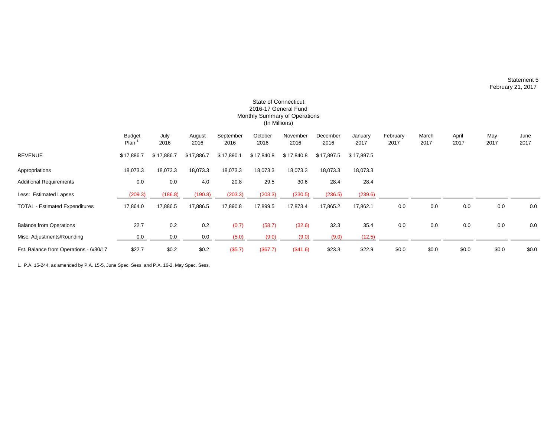#### Statement 5 February 21, 2017

|                                        |                       |              |                |                   |                 | 2016-17 General Fund<br>Monthly Summary of Operations |                  |                 |                  |               |               |             |              |
|----------------------------------------|-----------------------|--------------|----------------|-------------------|-----------------|-------------------------------------------------------|------------------|-----------------|------------------|---------------|---------------|-------------|--------------|
|                                        |                       |              |                |                   |                 | (In Millions)                                         |                  |                 |                  |               |               |             |              |
|                                        | <b>Budget</b><br>Plan | July<br>2016 | August<br>2016 | September<br>2016 | October<br>2016 | November<br>2016                                      | December<br>2016 | January<br>2017 | February<br>2017 | March<br>2017 | April<br>2017 | May<br>2017 | June<br>2017 |
| REVENUE                                | \$17,886.7            | \$17,886.7   | \$17,886.7     | \$17,890.1        | \$17,840.8      | \$17,840.8                                            | \$17,897.5       | \$17,897.5      |                  |               |               |             |              |
| Appropriations                         | 18,073.3              | 18,073.3     | 18,073.3       | 18,073.3          | 18,073.3        | 18,073.3                                              | 18,073.3         | 18,073.3        |                  |               |               |             |              |
| <b>Additional Requirements</b>         | 0.0                   | 0.0          | 4.0            | 20.8              | 29.5            | 30.6                                                  | 28.4             | 28.4            |                  |               |               |             |              |
| Less: Estimated Lapses                 | (209.3)               | (186.8)      | (190.8)        | (203.3)           | (203.3)         | (230.5)                                               | (236.5)          | (239.6)         |                  |               |               |             |              |
| <b>TOTAL - Estimated Expenditures</b>  | 17,864.0              | 17,886.5     | 17,886.5       | 17,890.8          | 17,899.5        | 17,873.4                                              | 17,865.2         | 17,862.1        | 0.0              | 0.0           | 0.0           | 0.0         | 0.0          |
| <b>Balance from Operations</b>         | 22.7                  | 0.2          | 0.2            | (0.7)             | (58.7)          | (32.6)                                                | 32.3             | 35.4            | 0.0              | 0.0           | 0.0           | 0.0         | 0.0          |
| Misc. Adjustments/Rounding             | 0.0                   | 0.0          | 0.0            | (5.0)             | (9.0)           | (9.0)                                                 | (9.0)            | (12.5)          |                  |               |               |             |              |
| Est. Balance from Operations - 6/30/17 | \$22.7                | \$0.2        | \$0.2          | (\$5.7)           | (\$67.7)        | (\$41.6)                                              | \$23.3           | \$22.9          | \$0.0            | \$0.0         | \$0.0         | \$0.0       | \$0.0        |

State of Connecticut

1. P.A. 15-244, as amended by P.A. 15-5, June Spec. Sess. and P.A. 16-2, May Spec. Sess.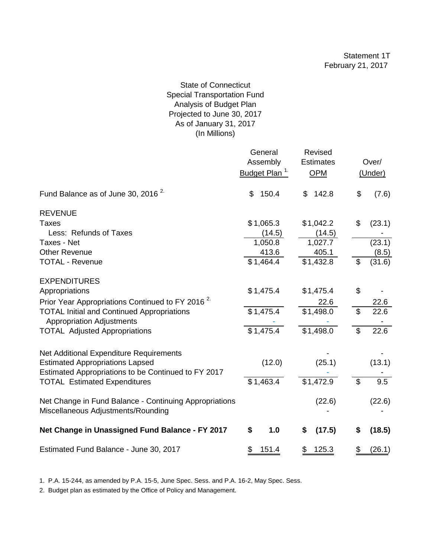## State of Connecticut Special Transportation Fund Analysis of Budget Plan Projected to June 30, 2017 As of January 31, 2017 (In Millions)

|                                                                                              | General<br>Assembly<br>Budget Plan <sup>1.</sup> | Revised<br><b>Estimates</b><br><b>OPM</b> |                | Over/<br>(Under) |
|----------------------------------------------------------------------------------------------|--------------------------------------------------|-------------------------------------------|----------------|------------------|
| Fund Balance as of June 30, 2016 <sup>2</sup>                                                | \$<br>150.4                                      | 142.8<br>\$                               | \$             | (7.6)            |
| <b>REVENUE</b>                                                                               |                                                  |                                           |                |                  |
| <b>Taxes</b>                                                                                 | \$1,065.3                                        | \$1,042.2                                 | \$             | (23.1)           |
| Less: Refunds of Taxes                                                                       | (14.5)                                           | (14.5)                                    |                |                  |
| Taxes - Net                                                                                  | 1,050.8                                          | 1,027.7                                   |                | (23.1)           |
| <b>Other Revenue</b>                                                                         | 413.6                                            | 405.1                                     |                | (8.5)            |
| <b>TOTAL - Revenue</b>                                                                       | \$1,464.4                                        | \$1,432.8                                 | \$             | (31.6)           |
| <b>EXPENDITURES</b>                                                                          |                                                  |                                           |                |                  |
| Appropriations                                                                               | \$1,475.4                                        | \$1,475.4                                 | \$             |                  |
| Prior Year Appropriations Continued to FY 2016 <sup>2.</sup>                                 |                                                  | 22.6                                      |                | 22.6             |
| <b>TOTAL Initial and Continued Appropriations</b><br><b>Appropriation Adjustments</b>        | \$1,475.4                                        | \$1,498.0                                 | $\mathfrak{L}$ | 22.6             |
| <b>TOTAL Adjusted Appropriations</b>                                                         | \$1,475.4                                        | $$1,498.\overline{0}$                     | \$             | 22.6             |
| Net Additional Expenditure Requirements                                                      |                                                  |                                           |                |                  |
| <b>Estimated Appropriations Lapsed</b>                                                       | (12.0)                                           | (25.1)                                    |                | (13.1)           |
| Estimated Appropriations to be Continued to FY 2017                                          | \$1,463.4                                        | \$1,472.9                                 | $\mathfrak{L}$ | 9.5              |
| <b>TOTAL Estimated Expenditures</b>                                                          |                                                  |                                           |                |                  |
| Net Change in Fund Balance - Continuing Appropriations<br>Miscellaneous Adjustments/Rounding |                                                  | (22.6)                                    |                | (22.6)           |
| Net Change in Unassigned Fund Balance - FY 2017                                              | \$<br>1.0                                        | (17.5)<br>\$                              | \$             | (18.5)           |
| Estimated Fund Balance - June 30, 2017                                                       | \$<br>151.4                                      | 125.3<br>\$                               | \$             | (26.1)           |

1. P.A. 15-244, as amended by P.A. 15-5, June Spec. Sess. and P.A. 16-2, May Spec. Sess.

2. Budget plan as estimated by the Office of Policy and Management.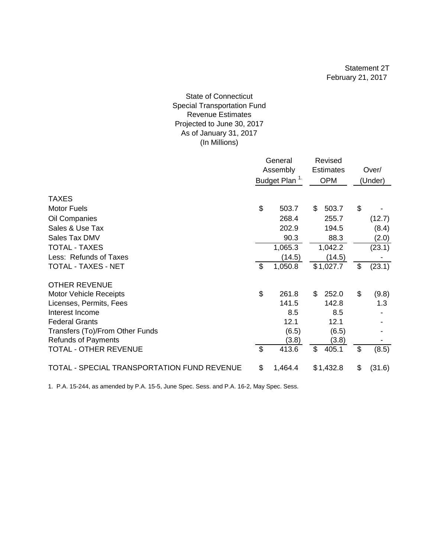#### As of January 31, 2017 (In Millions) State of Connecticut Special Transportation Fund Revenue Estimates Projected to June 30, 2017

|                                             | General<br>Assembly<br>Budget Plan <sup>1.</sup> |         | Revised<br><b>Estimates</b><br><b>OPM</b> |    | Over/<br>(Under) |
|---------------------------------------------|--------------------------------------------------|---------|-------------------------------------------|----|------------------|
| <b>TAXES</b>                                |                                                  |         |                                           |    |                  |
| <b>Motor Fuels</b>                          | \$                                               | 503.7   | \$<br>503.7                               | \$ |                  |
| Oil Companies                               |                                                  | 268.4   | 255.7                                     |    | (12.7)           |
| Sales & Use Tax                             |                                                  | 202.9   | 194.5                                     |    | (8.4)            |
| Sales Tax DMV                               |                                                  | 90.3    | 88.3                                      |    | (2.0)            |
| <b>TOTAL - TAXES</b>                        |                                                  | 1,065.3 | 1,042.2                                   |    | (23.1)           |
| Less: Refunds of Taxes                      |                                                  | (14.5)  | (14.5)                                    |    |                  |
| TOTAL - TAXES - NET                         | \$                                               | 1,050.8 | \$1,027.7                                 | \$ | (23.1)           |
| <b>OTHER REVENUE</b>                        |                                                  |         |                                           |    |                  |
| Motor Vehicle Receipts                      | \$                                               | 261.8   | \$<br>252.0                               | \$ | (9.8)            |
| Licenses, Permits, Fees                     |                                                  | 141.5   | 142.8                                     |    | 1.3              |
| Interest Income                             |                                                  | 8.5     | 8.5                                       |    |                  |
| <b>Federal Grants</b>                       |                                                  | 12.1    | 12.1                                      |    |                  |
| Transfers (To)/From Other Funds             |                                                  | (6.5)   | (6.5)                                     |    |                  |
| <b>Refunds of Payments</b>                  |                                                  | (3.8)   | (3.8)                                     |    |                  |
| TOTAL - OTHER REVENUE                       | \$                                               | 413.6   | \$<br>405.1                               | \$ | (8.5)            |
| TOTAL - SPECIAL TRANSPORTATION FUND REVENUE | \$                                               | 1,464.4 | \$1,432.8                                 | \$ | (31.6)           |

1. P.A. 15-244, as amended by P.A. 15-5, June Spec. Sess. and P.A. 16-2, May Spec. Sess.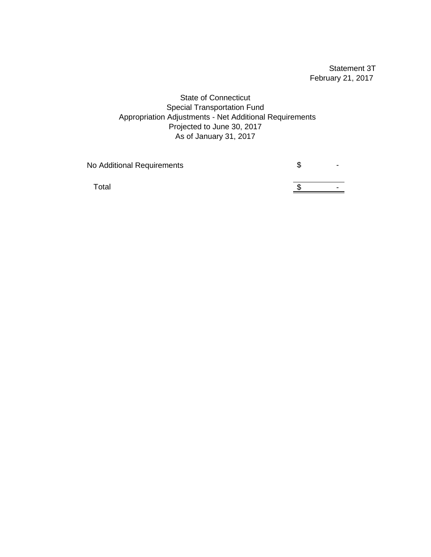Statement 3T February 21, 2017

State of Connecticut Special Transportation Fund Appropriation Adjustments - Net Additional Requirements Projected to June 30, 2017 As of January 31, 2017

No Additional Requirements **Access 19 System** Section 4.5 Apr 2014

Total  $\frac{1}{3}$  -  $\frac{1}{2}$  -  $\frac{1}{3}$  -  $\frac{1}{2}$  -  $\frac{1}{3}$  -  $\frac{1}{2}$  -  $\frac{1}{2}$  -  $\frac{1}{2}$  -  $\frac{1}{2}$  -  $\frac{1}{2}$  -  $\frac{1}{2}$  -  $\frac{1}{2}$  -  $\frac{1}{2}$  -  $\frac{1}{2}$  -  $\frac{1}{2}$  -  $\frac{1}{2}$  -  $\frac{1}{2}$  -  $\frac{1}{2}$  -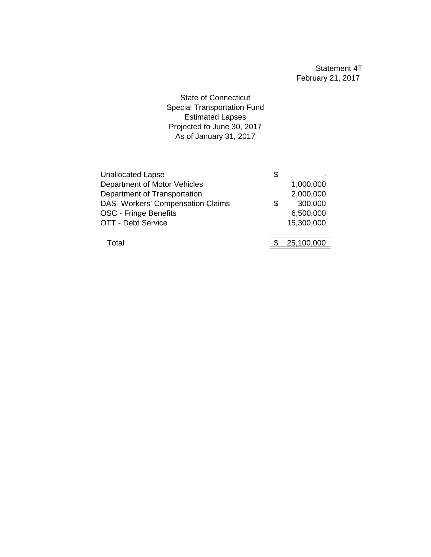State of Connecticut Special Transportation Fund Estimated Lapses Projected to June 30, 2017 As of January 31, 2017

| <b>Unallocated Lapse</b>                 | \$            |
|------------------------------------------|---------------|
| Department of Motor Vehicles             | 1,000,000     |
| Department of Transportation             | 2,000,000     |
| <b>DAS- Workers' Compensation Claims</b> | \$<br>300,000 |
| OSC - Fringe Benefits                    | 6,500,000     |
| <b>OTT - Debt Service</b>                | 15,300,000    |
|                                          |               |
| Total                                    | 25,100,000    |